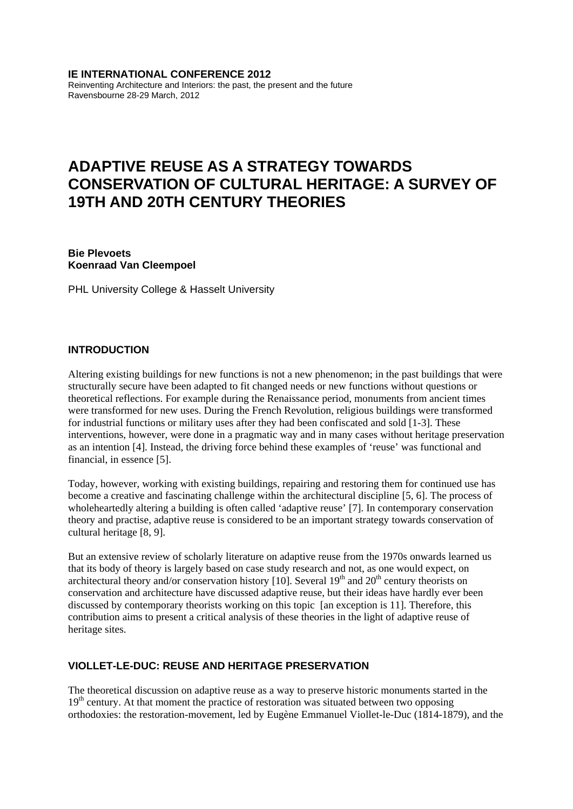#### **IE INTERNATIONAL CONFERENCE 2012**

Reinventing Architecture and Interiors: the past, the present and the future Ravensbourne 28-29 March, 2012

# **ADAPTIVE REUSE AS A STRATEGY TOWARDS CONSERVATION OF CULTURAL HERITAGE: A SURVEY OF 19TH AND 20TH CENTURY THEORIES**

**Bie Plevoets Koenraad Van Cleempoel** 

PHL University College & Hasselt University

#### **INTRODUCTION**

Altering existing buildings for new functions is not a new phenomenon; in the past buildings that were structurally secure have been adapted to fit changed needs or new functions without questions or theoretical reflections. For example during the Renaissance period, monuments from ancient times were transformed for new uses. During the French Revolution, religious buildings were transformed for industrial functions or military uses after they had been confiscated and sold [1-3]. These interventions, however, were done in a pragmatic way and in many cases without heritage preservation as an intention [4]. Instead, the driving force behind these examples of 'reuse' was functional and financial, in essence [5].

Today, however, working with existing buildings, repairing and restoring them for continued use has become a creative and fascinating challenge within the architectural discipline [5, 6]. The process of wholeheartedly altering a building is often called 'adaptive reuse' [7]. In contemporary conservation theory and practise, adaptive reuse is considered to be an important strategy towards conservation of cultural heritage [8, 9].

But an extensive review of scholarly literature on adaptive reuse from the 1970s onwards learned us that its body of theory is largely based on case study research and not, as one would expect, on architectural theory and/or conservation history [10]. Several  $19<sup>th</sup>$  and  $20<sup>th</sup>$  century theorists on conservation and architecture have discussed adaptive reuse, but their ideas have hardly ever been discussed by contemporary theorists working on this topic [an exception is 11]. Therefore, this contribution aims to present a critical analysis of these theories in the light of adaptive reuse of heritage sites.

# **VIOLLET-LE-DUC: REUSE AND HERITAGE PRESERVATION**

The theoretical discussion on adaptive reuse as a way to preserve historic monuments started in the  $19<sup>th</sup>$  century. At that moment the practice of restoration was situated between two opposing orthodoxies: the restoration-movement, led by Eugène Emmanuel Viollet-le-Duc (1814-1879), and the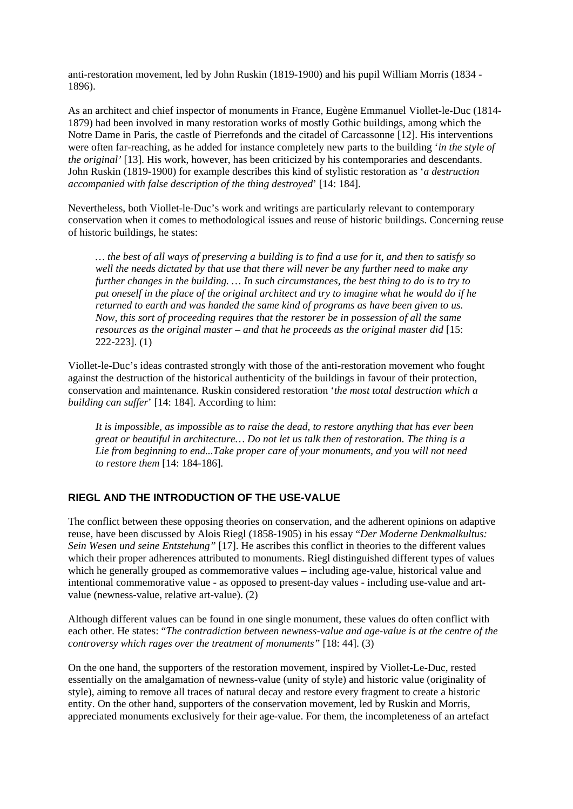anti-restoration movement, led by John Ruskin (1819-1900) and his pupil William Morris (1834 - 1896).

As an architect and chief inspector of monuments in France, Eugène Emmanuel Viollet-le-Duc (1814- 1879) had been involved in many restoration works of mostly Gothic buildings, among which the Notre Dame in Paris, the castle of Pierrefonds and the citadel of Carcassonne [12]. His interventions were often far-reaching, as he added for instance completely new parts to the building '*in the style of the original'* [13]. His work, however, has been criticized by his contemporaries and descendants. John Ruskin (1819-1900) for example describes this kind of stylistic restoration as '*a destruction accompanied with false description of the thing destroyed*' [14: 184].

Nevertheless, both Viollet-le-Duc's work and writings are particularly relevant to contemporary conservation when it comes to methodological issues and reuse of historic buildings. Concerning reuse of historic buildings, he states:

*… the best of all ways of preserving a building is to find a use for it, and then to satisfy so well the needs dictated by that use that there will never be any further need to make any further changes in the building. … In such circumstances, the best thing to do is to try to put oneself in the place of the original architect and try to imagine what he would do if he returned to earth and was handed the same kind of programs as have been given to us. Now, this sort of proceeding requires that the restorer be in possession of all the same resources as the original master – and that he proceeds as the original master did* [15: 222-223]. (1)

Viollet-le-Duc's ideas contrasted strongly with those of the anti-restoration movement who fought against the destruction of the historical authenticity of the buildings in favour of their protection, conservation and maintenance. Ruskin considered restoration '*the most total destruction which a building can suffer*' [14: 184]. According to him:

*It is impossible, as impossible as to raise the dead, to restore anything that has ever been great or beautiful in architecture… Do not let us talk then of restoration. The thing is a Lie from beginning to end...Take proper care of your monuments, and you will not need to restore them* [14: 184-186].

# **RIEGL AND THE INTRODUCTION OF THE USE-VALUE**

The conflict between these opposing theories on conservation, and the adherent opinions on adaptive reuse, have been discussed by Alois Riegl (1858-1905) in his essay "*Der Moderne Denkmalkultus: Sein Wesen und seine Entstehung"* [17]. He ascribes this conflict in theories to the different values which their proper adherences attributed to monuments. Riegl distinguished different types of values which he generally grouped as commemorative values – including age-value, historical value and intentional commemorative value - as opposed to present-day values - including use-value and artvalue (newness-value, relative art-value). (2)

Although different values can be found in one single monument, these values do often conflict with each other. He states: "*The contradiction between newness-value and age-value is at the centre of the controversy which rages over the treatment of monuments"* [18: 44]. (3)

On the one hand, the supporters of the restoration movement, inspired by Viollet-Le-Duc, rested essentially on the amalgamation of newness-value (unity of style) and historic value (originality of style), aiming to remove all traces of natural decay and restore every fragment to create a historic entity. On the other hand, supporters of the conservation movement, led by Ruskin and Morris, appreciated monuments exclusively for their age-value. For them, the incompleteness of an artefact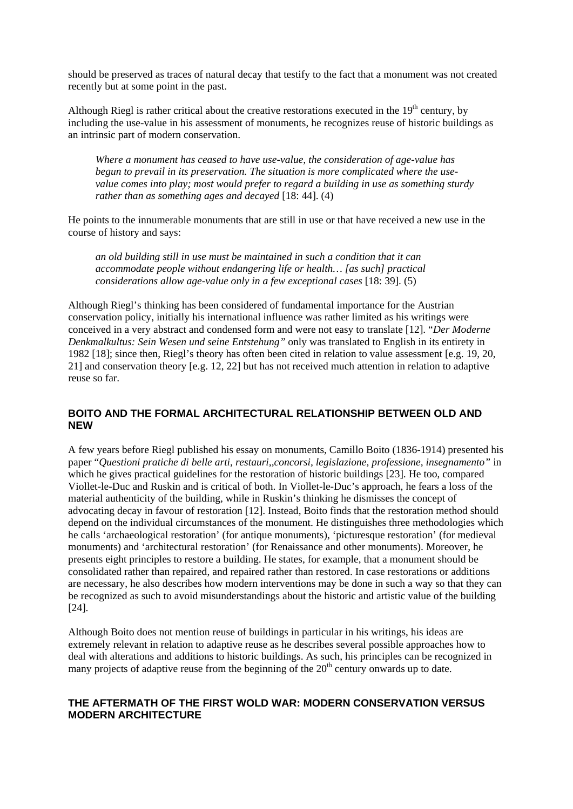should be preserved as traces of natural decay that testify to the fact that a monument was not created recently but at some point in the past.

Although Riegl is rather critical about the creative restorations executed in the  $19<sup>th</sup>$  century, by including the use-value in his assessment of monuments, he recognizes reuse of historic buildings as an intrinsic part of modern conservation.

*Where a monument has ceased to have use-value, the consideration of age-value has begun to prevail in its preservation. The situation is more complicated where the usevalue comes into play; most would prefer to regard a building in use as something sturdy rather than as something ages and decayed* [18: 44]. (4)

He points to the innumerable monuments that are still in use or that have received a new use in the course of history and says:

*an old building still in use must be maintained in such a condition that it can accommodate people without endangering life or health… [as such] practical considerations allow age-value only in a few exceptional cases* [18: 39]. (5)

Although Riegl's thinking has been considered of fundamental importance for the Austrian conservation policy, initially his international influence was rather limited as his writings were conceived in a very abstract and condensed form and were not easy to translate [12]. "*Der Moderne Denkmalkultus: Sein Wesen und seine Entstehung"* only was translated to English in its entirety in 1982 [18]; since then, Riegl's theory has often been cited in relation to value assessment [e.g. 19, 20, 21] and conservation theory [e.g. 12, 22] but has not received much attention in relation to adaptive reuse so far.

# **BOITO AND THE FORMAL ARCHITECTURAL RELATIONSHIP BETWEEN OLD AND NEW**

A few years before Riegl published his essay on monuments, Camillo Boito (1836-1914) presented his paper "*Questioni pratiche di belle arti, restauri,,concorsi, legislazione, professione, insegnamento"* in which he gives practical guidelines for the restoration of historic buildings [23]. He too, compared Viollet-le-Duc and Ruskin and is critical of both. In Viollet-le-Duc's approach, he fears a loss of the material authenticity of the building, while in Ruskin's thinking he dismisses the concept of advocating decay in favour of restoration [12]. Instead, Boito finds that the restoration method should depend on the individual circumstances of the monument. He distinguishes three methodologies which he calls 'archaeological restoration' (for antique monuments), 'picturesque restoration' (for medieval monuments) and 'architectural restoration' (for Renaissance and other monuments). Moreover, he presents eight principles to restore a building. He states, for example, that a monument should be consolidated rather than repaired, and repaired rather than restored. In case restorations or additions are necessary, he also describes how modern interventions may be done in such a way so that they can be recognized as such to avoid misunderstandings about the historic and artistic value of the building [24].

Although Boito does not mention reuse of buildings in particular in his writings, his ideas are extremely relevant in relation to adaptive reuse as he describes several possible approaches how to deal with alterations and additions to historic buildings. As such, his principles can be recognized in many projects of adaptive reuse from the beginning of the  $20<sup>th</sup>$  century onwards up to date.

# **THE AFTERMATH OF THE FIRST WOLD WAR: MODERN CONSERVATION VERSUS MODERN ARCHITECTURE**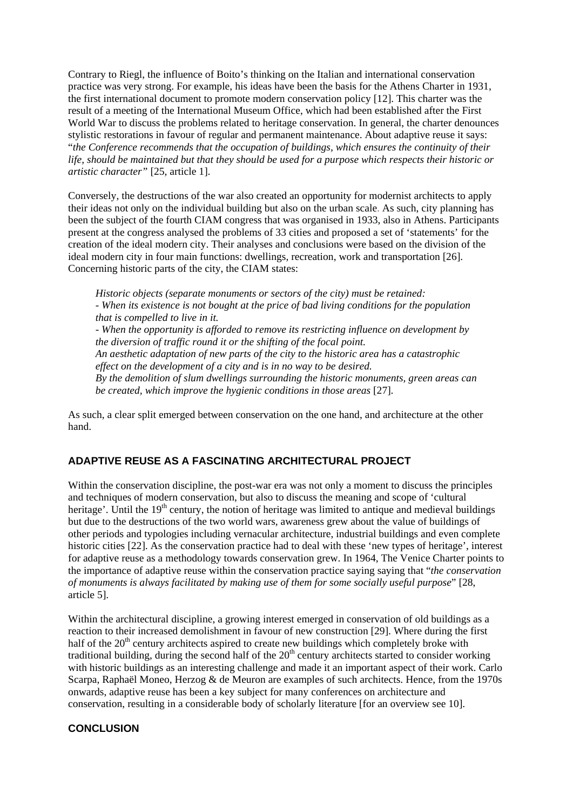Contrary to Riegl, the influence of Boito's thinking on the Italian and international conservation practice was very strong. For example, his ideas have been the basis for the Athens Charter in 1931, the first international document to promote modern conservation policy [12]. This charter was the result of a meeting of the International Museum Office, which had been established after the First World War to discuss the problems related to heritage conservation. In general, the charter denounces stylistic restorations in favour of regular and permanent maintenance. About adaptive reuse it says: "*the Conference recommends that the occupation of buildings, which ensures the continuity of their life, should be maintained but that they should be used for a purpose which respects their historic or artistic character"* [25, article 1].

Conversely, the destructions of the war also created an opportunity for modernist architects to apply their ideas not only on the individual building but also on the urban scale. As such, city planning has been the subject of the fourth CIAM congress that was organised in 1933, also in Athens. Participants present at the congress analysed the problems of 33 cities and proposed a set of 'statements' for the creation of the ideal modern city. Their analyses and conclusions were based on the division of the ideal modern city in four main functions: dwellings, recreation, work and transportation [26]. Concerning historic parts of the city, the CIAM states:

*Historic objects (separate monuments or sectors of the city) must be retained: - When its existence is not bought at the price of bad living conditions for the population that is compelled to live in it. - When the opportunity is afforded to remove its restricting influence on development by the diversion of traffic round it or the shifting of the focal point. An aesthetic adaptation of new parts of the city to the historic area has a catastrophic effect on the development of a city and is in no way to be desired. By the demolition of slum dwellings surrounding the historic monuments, green areas can be created, which improve the hygienic conditions in those areas* [27].

As such, a clear split emerged between conservation on the one hand, and architecture at the other hand.

# **ADAPTIVE REUSE AS A FASCINATING ARCHITECTURAL PROJECT**

Within the conservation discipline, the post-war era was not only a moment to discuss the principles and techniques of modern conservation, but also to discuss the meaning and scope of 'cultural heritage'. Until the  $19<sup>th</sup>$  century, the notion of heritage was limited to antique and medieval buildings but due to the destructions of the two world wars, awareness grew about the value of buildings of other periods and typologies including vernacular architecture, industrial buildings and even complete historic cities [22]. As the conservation practice had to deal with these 'new types of heritage', interest for adaptive reuse as a methodology towards conservation grew. In 1964, The Venice Charter points to the importance of adaptive reuse within the conservation practice saying saying that "*the conservation of monuments is always facilitated by making use of them for some socially useful purpose*" [28, article 5].

Within the architectural discipline, a growing interest emerged in conservation of old buildings as a reaction to their increased demolishment in favour of new construction [29]. Where during the first half of the  $20<sup>th</sup>$  century architects aspired to create new buildings which completely broke with traditional building, during the second half of the  $20<sup>th</sup>$  century architects started to consider working with historic buildings as an interesting challenge and made it an important aspect of their work. Carlo Scarpa, Raphaël Moneo, Herzog & de Meuron are examples of such architects. Hence, from the 1970s onwards, adaptive reuse has been a key subject for many conferences on architecture and conservation, resulting in a considerable body of scholarly literature [for an overview see 10].

#### **CONCLUSION**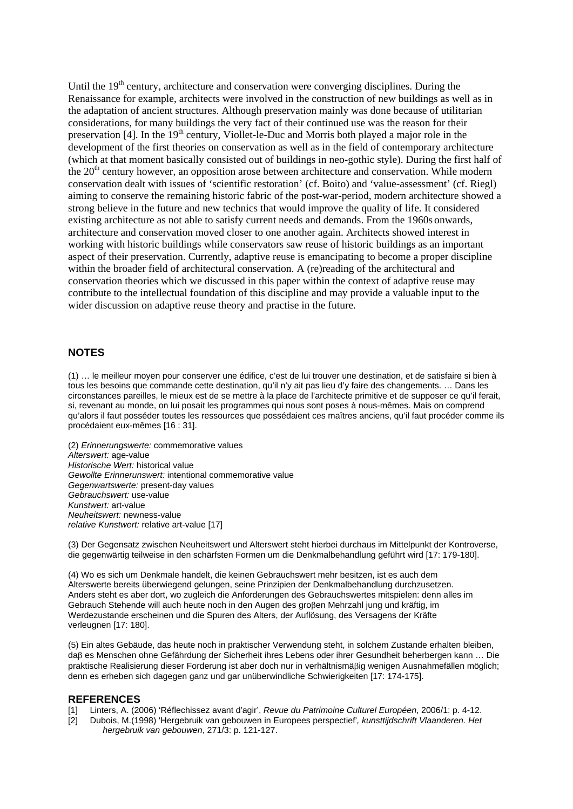Until the  $19<sup>th</sup>$  century, architecture and conservation were converging disciplines. During the Renaissance for example, architects were involved in the construction of new buildings as well as in the adaptation of ancient structures. Although preservation mainly was done because of utilitarian considerations, for many buildings the very fact of their continued use was the reason for their preservation [4]. In the  $19<sup>th</sup>$  century, Viollet-le-Duc and Morris both played a major role in the development of the first theories on conservation as well as in the field of contemporary architecture (which at that moment basically consisted out of buildings in neo-gothic style). During the first half of the  $20<sup>th</sup>$  century however, an opposition arose between architecture and conservation. While modern conservation dealt with issues of 'scientific restoration' (cf. Boito) and 'value-assessment' (cf. Riegl) aiming to conserve the remaining historic fabric of the post-war-period, modern architecture showed a strong believe in the future and new technics that would improve the quality of life. It considered existing architecture as not able to satisfy current needs and demands. From the 1960s onwards, architecture and conservation moved closer to one another again. Architects showed interest in working with historic buildings while conservators saw reuse of historic buildings as an important aspect of their preservation. Currently, adaptive reuse is emancipating to become a proper discipline within the broader field of architectural conservation. A (re)reading of the architectural and conservation theories which we discussed in this paper within the context of adaptive reuse may contribute to the intellectual foundation of this discipline and may provide a valuable input to the wider discussion on adaptive reuse theory and practise in the future.

#### **NOTES**

(1) … le meilleur moyen pour conserver une édifice, c'est de lui trouver une destination, et de satisfaire si bien à tous les besoins que commande cette destination, qu'il n'y ait pas lieu d'y faire des changements. … Dans les circonstances pareilles, le mieux est de se mettre à la place de l'architecte primitive et de supposer ce qu'il ferait, si, revenant au monde, on lui posait les programmes qui nous sont poses à nous-mêmes. Mais on comprend qu'alors il faut posséder toutes les ressources que possédaient ces maîtres anciens, qu'il faut procéder comme ils procédaient eux-mêmes [16 : 31].

(2) *Erinnerungswerte:* commemorative values *Alterswert:* age-value *Historische Wert:* historical value *Gewollte Erinnerunswert:* intentional commemorative value *Gegenwartswerte:* present-day values *Gebrauchswert:* use-value *Kunstwert:* art-value *Neuheitswert:* newness-value *relative Kunstwert:* relative art-value [17]

(3) Der Gegensatz zwischen Neuheitswert und Alterswert steht hierbei durchaus im Mittelpunkt der Kontroverse, die gegenwärtig teilweise in den schärfsten Formen um die Denkmalbehandlung geführt wird [17: 179-180].

(4) Wo es sich um Denkmale handelt, die keinen Gebrauchswert mehr besitzen, ist es auch dem Alterswerte bereits überwiegend gelungen, seine Prinzipien der Denkmalbehandlung durchzusetzen. Anders steht es aber dort, wo zugleich die Anforderungen des Gebrauchswertes mitspielen: denn alles im Gebrauch Stehende will auch heute noch in den Augen des großen Mehrzahl jung und kräftig, im Werdezustande erscheinen und die Spuren des Alters, der Auflösung, des Versagens der Kräfte verleugnen [17: 180].

(5) Ein altes Gebäude, das heute noch in praktischer Verwendung steht, in solchem Zustande erhalten bleiben, daß es Menschen ohne Gefährdung der Sicherheit ihres Lebens oder ihrer Gesundheit beherbergen kann ... Die praktische Realisierung dieser Forderung ist aber doch nur in verhältnismäig wenigen Ausnahmefällen möglich; denn es erheben sich dagegen ganz und gar unüberwindliche Schwierigkeiten [17: 174-175].

#### **REFERENCES**

- [1] Linters, A. (2006) 'Réflechissez avant d'agir', *Revue du Patrimoine Culturel Européen*, 2006/1: p. 4-12.
- [2] Dubois, M.(1998) 'Hergebruik van gebouwen in Europees perspectief'*, kunsttijdschrift Vlaanderen. Het hergebruik van gebouwen*, 271/3: p. 121-127.